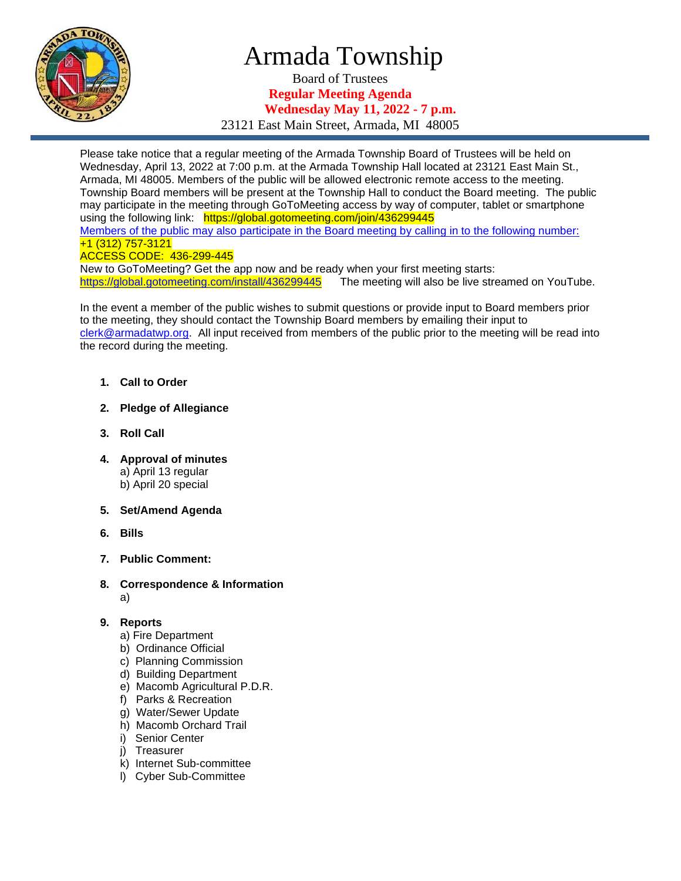

# Armada Township

Board of Trustees **Regular Meeting Agenda Wednesday May 11, 2022 - 7 p.m.**

23121 East Main Street, Armada, MI 48005

Please take notice that a regular meeting of the Armada Township Board of Trustees will be held on Wednesday, April 13, 2022 at 7:00 p.m. at the Armada Township Hall located at 23121 East Main St., Armada, MI 48005. Members of the public will be allowed electronic remote access to the meeting. Township Board members will be present at the Township Hall to conduct the Board meeting. The public may participate in the meeting through GoToMeeting access by way of computer, tablet or smartphone using the following link: https://global.gotomeeting.com/join/436299445 Members of the public may also participate in the Board meeting by calling in to the following number: +1 (312) 757-3121 ACCESS CODE: 436-299-445 New to GoToMeeting? Get the app now and be ready when your first meeting starts:

<https://global.gotomeeting.com/install/436299445>The meeting will also be live streamed on YouTube.

In the event a member of the public wishes to submit questions or provide input to Board members prior to the meeting, they should contact the Township Board members by emailing their input to [clerk@armadatwp.org.](mailto:clerk@armadatwp.org) All input received from members of the public prior to the meeting will be read into the record during the meeting.

- **1. Call to Order**
- **2. Pledge of Allegiance**
- **3. Roll Call**
- **4. Approval of minutes**  a) April 13 regular b) April 20 special
- **5. Set/Amend Agenda**
- **6. Bills**
- **7. Public Comment:**
- **8. Correspondence & Information** a)

### **9. Reports**

- a) Fire Department
- b) Ordinance Official
- c) Planning Commission
- d) Building Department
- e) Macomb Agricultural P.D.R.
- f) Parks & Recreation
- g) Water/Sewer Update
- h) Macomb Orchard Trail
- i) Senior Center
- j) Treasurer
- k) Internet Sub-committee
- l) Cyber Sub-Committee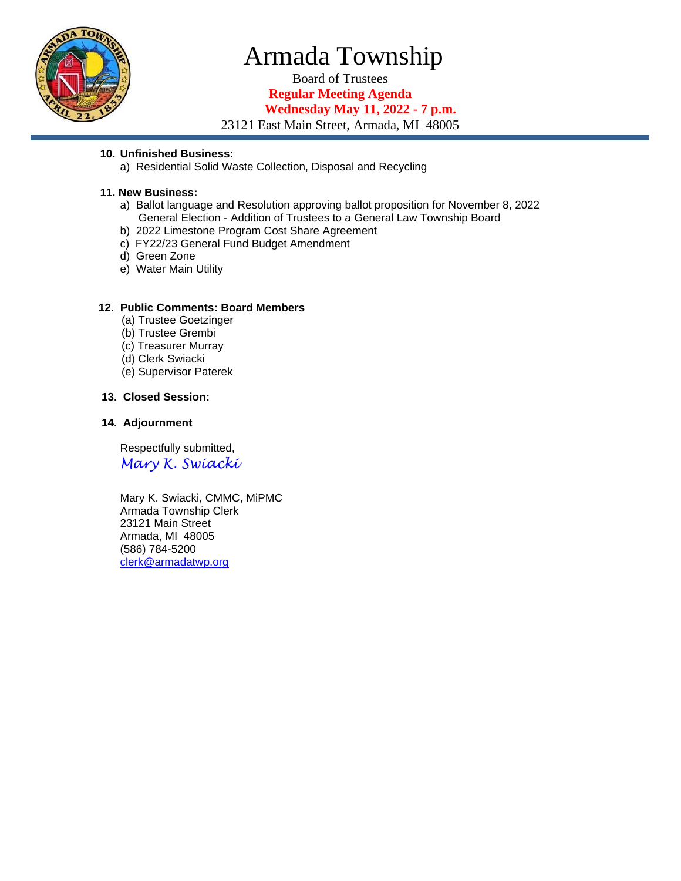

# Armada Township

Board of Trustees **Regular Meeting Agenda**

**Wednesday May 11, 2022 - 7 p.m.**

23121 East Main Street, Armada, MI 48005

### **10. Unfinished Business:**

a) Residential Solid Waste Collection, Disposal and Recycling

# **11. New Business:**

- a) Ballot language and Resolution approving ballot proposition for November 8, 2022 General Election - Addition of Trustees to a General Law Township Board
- b) 2022 Limestone Program Cost Share Agreement
- c) FY22/23 General Fund Budget Amendment
- d) Green Zone
- e) Water Main Utility

### **12. Public Comments: Board Members**

- (a) Trustee Goetzinger
- (b) Trustee Grembi
- (c) Treasurer Murray
- (d) Clerk Swiacki
- (e) Supervisor Paterek

# **13. Closed Session:**

#### **14. Adjournment**

 Respectfully submitted, *Mary K. Swiacki*

 Mary K. Swiacki, CMMC, MiPMC Armada Township Clerk 23121 Main Street Armada, MI 48005 (586) 784-5200 [clerk@armadatwp.org](mailto:clerk@armadatwp.org)